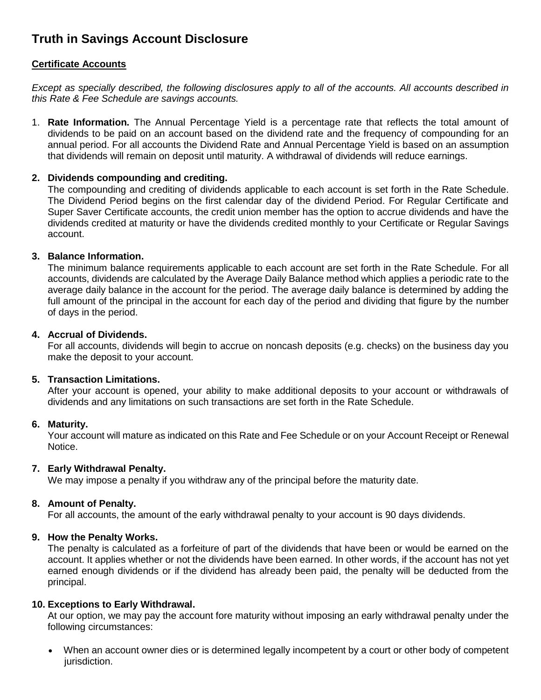# **Truth in Savings Account Disclosure**

## **Certificate Accounts**

*Except as specially described, the following disclosures apply to all of the accounts. All accounts described in this Rate & Fee Schedule are savings accounts.*

1. **Rate Information.** The Annual Percentage Yield is a percentage rate that reflects the total amount of dividends to be paid on an account based on the dividend rate and the frequency of compounding for an annual period. For all accounts the Dividend Rate and Annual Percentage Yield is based on an assumption that dividends will remain on deposit until maturity. A withdrawal of dividends will reduce earnings.

#### **2. Dividends compounding and crediting.**

The compounding and crediting of dividends applicable to each account is set forth in the Rate Schedule. The Dividend Period begins on the first calendar day of the dividend Period. For Regular Certificate and Super Saver Certificate accounts, the credit union member has the option to accrue dividends and have the dividends credited at maturity or have the dividends credited monthly to your Certificate or Regular Savings account.

#### **3. Balance Information.**

The minimum balance requirements applicable to each account are set forth in the Rate Schedule. For all accounts, dividends are calculated by the Average Daily Balance method which applies a periodic rate to the average daily balance in the account for the period. The average daily balance is determined by adding the full amount of the principal in the account for each day of the period and dividing that figure by the number of days in the period.

#### **4. Accrual of Dividends.**

For all accounts, dividends will begin to accrue on noncash deposits (e.g. checks) on the business day you make the deposit to your account.

#### **5. Transaction Limitations.**

After your account is opened, your ability to make additional deposits to your account or withdrawals of dividends and any limitations on such transactions are set forth in the Rate Schedule.

#### **6. Maturity.**

Your account will mature as indicated on this Rate and Fee Schedule or on your Account Receipt or Renewal Notice.

#### **7. Early Withdrawal Penalty.**

We may impose a penalty if you withdraw any of the principal before the maturity date.

#### **8. Amount of Penalty.**

For all accounts, the amount of the early withdrawal penalty to your account is 90 days dividends.

#### **9. How the Penalty Works.**

The penalty is calculated as a forfeiture of part of the dividends that have been or would be earned on the account. It applies whether or not the dividends have been earned. In other words, if the account has not yet earned enough dividends or if the dividend has already been paid, the penalty will be deducted from the principal.

#### **10. Exceptions to Early Withdrawal.**

At our option, we may pay the account fore maturity without imposing an early withdrawal penalty under the following circumstances:

 When an account owner dies or is determined legally incompetent by a court or other body of competent jurisdiction.